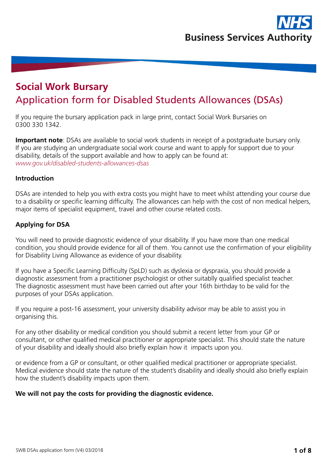

# **Social Work Bursary**  Application form for Disabled Students Allowances (DSAs)

If you require the bursary application pack in large print, contact Social Work Bursaries on 0300 330 1342.

**Important note**: DSAs are available to social work students in receipt of a postgraduate bursary only. If you are studying an undergraduate social work course and want to apply for support due to your disability, details of the support available and how to apply can be found at: *www.gov.uk/disabled-students-allowances-dsas*

#### **Introduction**

DSAs are intended to help you with extra costs you might have to meet whilst attending your course due to a disability or specific learning difficulty. The allowances can help with the cost of non medical helpers, major items of specialist equipment, travel and other course related costs.

#### **Applying for DSA**

You will need to provide diagnostic evidence of your disability. If you have more than one medical condition, you should provide evidence for all of them. You cannot use the confirmation of your eligibility for Disability Living Allowance as evidence of your disability.

If you have a Specific Learning Difficulty (SpLD) such as dyslexia or dyspraxia, you should provide a diagnostic assessment from a practitioner psychologist or other suitablly qualified specialist teacher. The diagnostic assessment must have been carried out after your 16th birthday to be valid for the purposes of your DSAs application.

If you require a post-16 assessment, your university disability advisor may be able to assist you in organising this.

For any other disability or medical condition you should submit a recent letter from your GP or consultant, or other qualified medical practitioner or appropriate specialist. This should state the nature of your disability and ideally should also briefly explain how it impacts upon you.

or evidence from a GP or consultant, or other qualified medical practitioner or appropriate specialist. Medical evidence should state the nature of the student's disability and ideally should also briefly explain how the student's disability impacts upon them.

## **We will not pay the costs for providing the diagnostic evidence.**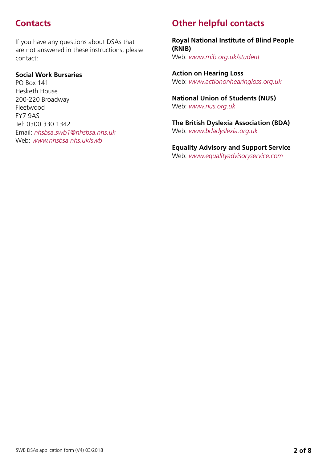If you have any questions about DSAs that are not answered in these instructions, please contact:

## **Social Work Bursaries**

PO Box 141 Hesketh House 200-220 Broadway Fleetwood FY7 9AS Tel: 0300 330 1342 Email: *nhsbsa.swb1@nhsbsa.nhs.uk* Web: *www.nhsbsa.nhs.uk/swb*

# **Contacts Other helpful contacts**

**Royal National Institute of Blind People (RNIB)** Web: *www.rnib.org.uk/student*

**Action on Hearing Loss** Web: *www.actiononhearingloss.org.uk*

**National Union of Students (NUS)** Web: *www.nus.org.uk*

**The British Dyslexia Association (BDA)** Web: *www.bdadyslexia.org.uk*

**Equality Advisory and Support Service** Web: *www.equalityadvisoryservice.com*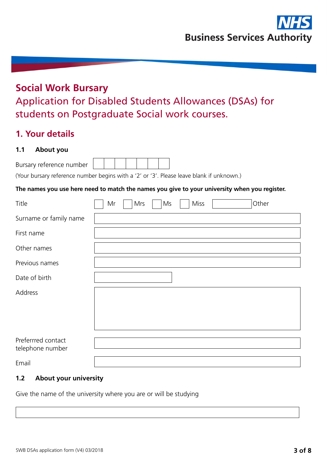# **Social Work Bursary** Application for Disabled Students Allowances (DSAs) for students on Postgraduate Social work courses.

# **1. Your details**

## **1.1 About you**

| Bursary reference number |  |  |  |  |
|--------------------------|--|--|--|--|
|                          |  |  |  |  |

(Your bursary reference number begins with a '2' or '3'. Please leave blank if unknown.)

## **The names you use here need to match the names you give to your university when you register.**

| Title                  | Mr | Mrs | Ms | Miss | Other |
|------------------------|----|-----|----|------|-------|
| Surname or family name |    |     |    |      |       |
| First name             |    |     |    |      |       |
| Other names            |    |     |    |      |       |
| Previous names         |    |     |    |      |       |
| Date of birth          |    |     |    |      |       |
| Address                |    |     |    |      |       |
|                        |    |     |    |      |       |
|                        |    |     |    |      |       |
| Preferrred contact     |    |     |    |      |       |
| telephone number       |    |     |    |      |       |
| Email                  |    |     |    |      |       |

## **1.2 About your university**

Give the name of the university where you are or will be studying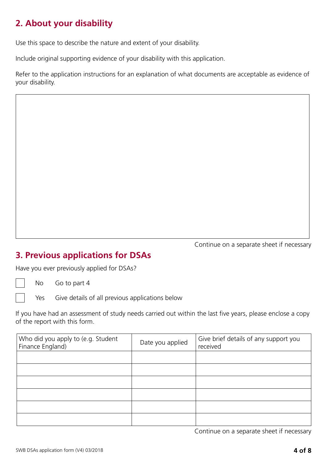# **2. About your disability**

Use this space to describe the nature and extent of your disability.

Include original supporting evidence of your disability with this application.

Refer to the application instructions for an explanation of what documents are acceptable as evidence of your disability.

**3. Previous applications for DSAs**

Have you ever previously applied for DSAs?

No Go to part 4

Yes Give details of all previous applications below

If you have had an assessment of study needs carried out within the last five years, please enclose a copy of the report with this form.

| Who did you apply to (e.g. Student<br>Finance England) | Date you applied | Give brief details of any support you<br>received |
|--------------------------------------------------------|------------------|---------------------------------------------------|
|                                                        |                  |                                                   |
|                                                        |                  |                                                   |
|                                                        |                  |                                                   |
|                                                        |                  |                                                   |
|                                                        |                  |                                                   |
|                                                        |                  |                                                   |

Continue on a separate sheet if necessary

Continue on a separate sheet if necessary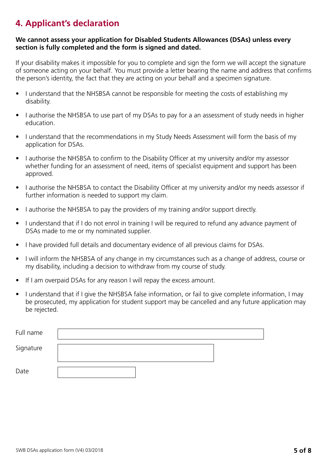# **4. Applicant's declaration**

#### **We cannot assess your application for Disabled Students Allowances (DSAs) unless every section is fully completed and the form is signed and dated.**

If your disability makes it impossible for you to complete and sign the form we will accept the signature of someone acting on your behalf. You must provide a letter bearing the name and address that confirms the person's identity, the fact that they are acting on your behalf and a specimen signature.

- I understand that the NHSBSA cannot be responsible for meeting the costs of establishing my disability.
- I authorise the NHSBSA to use part of my DSAs to pay for a an assessment of study needs in higher education.
- I understand that the recommendations in my Study Needs Assessment will form the basis of my application for DSAs.
- I authorise the NHSBSA to confirm to the Disability Officer at my university and/or my assessor whether funding for an assessment of need, items of specialist equipment and support has been approved.
- I authorise the NHSBSA to contact the Disability Officer at my university and/or my needs assessor if further information is needed to support my claim.
- I authorise the NHSBSA to pay the providers of my training and/or support directly.
- I understand that if I do not enrol in training I will be required to refund any advance payment of DSAs made to me or my nominated supplier.
- I have provided full details and documentary evidence of all previous claims for DSAs.
- I will inform the NHSBSA of any change in my circumstances such as a change of address, course or my disability, including a decision to withdraw from my course of study.
- If I am overpaid DSAs for any reason I will repay the excess amount.
- I understand that if I give the NHSBSA false information, or fail to give complete information, I may be prosecuted, my application for student support may be cancelled and any future application may be rejected.

| Full name |  |  |
|-----------|--|--|
| Signature |  |  |
| Date      |  |  |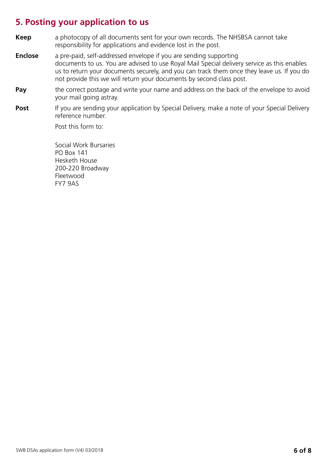## **5. Posting your application to us**

- **Keep** a photocopy of all documents sent for your own records. The NHSBSA cannot take responsibility for applications and evidence lost in the post.
- **Enclose** a pre-paid, self-addressed envelope if you are sending supporting documents to us. You are advised to use Royal Mail Special delivery service as this enables us to return your documents securely, and you can track them once they leave us. If you do not provide this we will return your documents by second class post.
- **Pay** the correct postage and write your name and address on the back of the envelope to avoid your mail going astray.
- **Post** If you are sending your application by Special Delivery, make a note of your Special Delivery reference number.

Post this form to:

 Social Work Bursaries PO Box 141 Hesketh House 200-220 Broadway Fleetwood FY7 9AS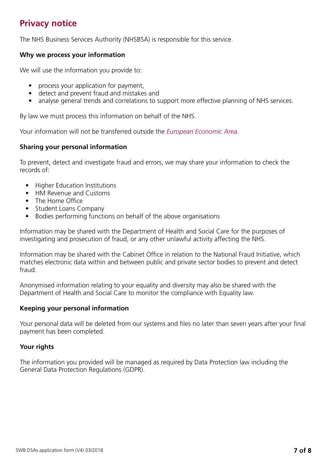# **Privacy notice**

The NHS Business Services Authority (NHSBSA) is responsible for this service.

## **Why we process your information**

We will use the information you provide to:

- process your application for payment,
- detect and prevent fraud and mistakes and
- analyse general trends and correlations to support more effective planning of NHS services.

By law we must process this information on behalf of the NHS.

Your information will not be transferred outside the *[European Economic Area](https://www.gov.uk/eu-eea).*

## **Sharing your personal information**

To prevent, detect and investigate fraud and errors, we may share your information to check the records of:

- Higher Education Institutions
- HM Revenue and Customs
- The Home Office
- Student Loans Company
- Bodies performing functions on behalf of the above organisations

Information may be shared with the Department of Health and Social Care for the purposes of investigating and prosecution of fraud, or any other unlawful activity affecting the NHS.

Information may be shared with the Cabinet Office in relation to the National Fraud Initiative, which matches electronic data within and between public and private sector bodies to prevent and detect fraud.

Anonymised information relating to your equality and diversity may also be shared with the Department of Health and Social Care to monitor the compliance with Equality law.

#### **Keeping your personal information**

Your personal data will be deleted from our systems and files no later than seven years after your final payment has been completed.

## **Your rights**

The information you provided will be managed as required by Data Protection law including the General Data Protection Regulations (GDPR).